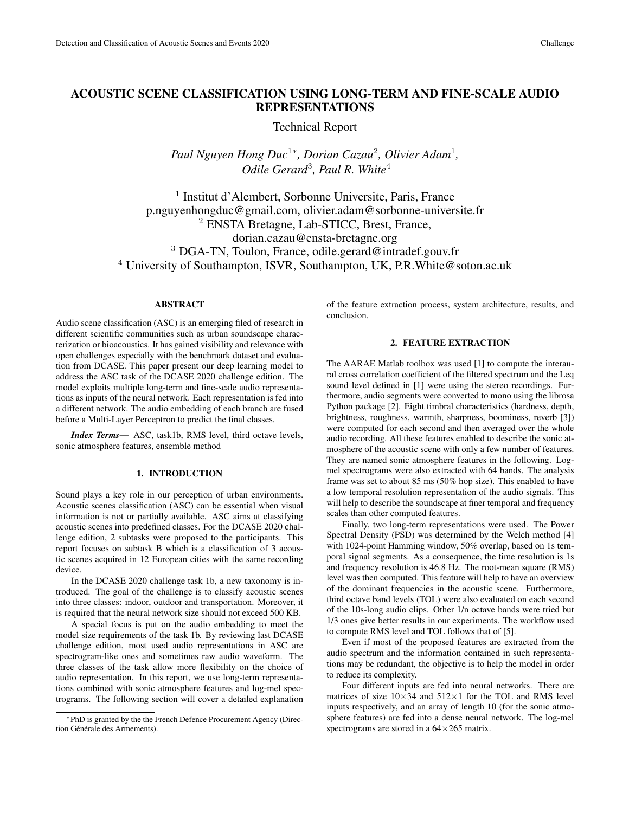# ACOUSTIC SCENE CLASSIFICATION USING LONG-TERM AND FINE-SCALE AUDIO REPRESENTATIONS

Technical Report

*Paul Nguyen Hong Duc*<sup>1</sup><sup>∗</sup> *, Dorian Cazau*<sup>2</sup> *, Olivier Adam*<sup>1</sup> *, Odile Gerard*<sup>3</sup> *, Paul R. White*<sup>4</sup>

1 Institut d'Alembert, Sorbonne Universite, Paris, France p.nguyenhongduc@gmail.com, olivier.adam@sorbonne-universite.fr <sup>2</sup> ENSTA Bretagne, Lab-STICC, Brest, France, dorian.cazau@ensta-bretagne.org <sup>3</sup> DGA-TN, Toulon, France, odile.gerard@intradef.gouv.fr <sup>4</sup> University of Southampton, ISVR, Southampton, UK, P.R. White @soton.ac.uk

# ABSTRACT

Audio scene classification (ASC) is an emerging filed of research in different scientific communities such as urban soundscape characterization or bioacoustics. It has gained visibility and relevance with open challenges especially with the benchmark dataset and evaluation from DCASE. This paper present our deep learning model to address the ASC task of the DCASE 2020 challenge edition. The model exploits multiple long-term and fine-scale audio representations as inputs of the neural network. Each representation is fed into a different network. The audio embedding of each branch are fused before a Multi-Layer Perceptron to predict the final classes.

*Index Terms*— ASC, task1b, RMS level, third octave levels, sonic atmosphere features, ensemble method

## 1. INTRODUCTION

Sound plays a key role in our perception of urban environments. Acoustic scenes classification (ASC) can be essential when visual information is not or partially available. ASC aims at classifying acoustic scenes into predefined classes. For the DCASE 2020 challenge edition, 2 subtasks were proposed to the participants. This report focuses on subtask B which is a classification of 3 acoustic scenes acquired in 12 European cities with the same recording device.

In the DCASE 2020 challenge task 1b, a new taxonomy is introduced. The goal of the challenge is to classify acoustic scenes into three classes: indoor, outdoor and transportation. Moreover, it is required that the neural network size should not exceed 500 KB.

A special focus is put on the audio embedding to meet the model size requirements of the task 1b. By reviewing last DCASE challenge edition, most used audio representations in ASC are spectrogram-like ones and sometimes raw audio waveform. The three classes of the task allow more flexibility on the choice of audio representation. In this report, we use long-term representations combined with sonic atmosphere features and log-mel spectrograms. The following section will cover a detailed explanation of the feature extraction process, system architecture, results, and conclusion.

# 2. FEATURE EXTRACTION

The AARAE Matlab toolbox was used [1] to compute the interaural cross correlation coefficient of the filtered spectrum and the Leq sound level defined in [1] were using the stereo recordings. Furthermore, audio segments were converted to mono using the librosa Python package [2]. Eight timbral characteristics (hardness, depth, brightness, roughness, warmth, sharpness, boominess, reverb [3]) were computed for each second and then averaged over the whole audio recording. All these features enabled to describe the sonic atmosphere of the acoustic scene with only a few number of features. They are named sonic atmosphere features in the following. Logmel spectrograms were also extracted with 64 bands. The analysis frame was set to about 85 ms (50% hop size). This enabled to have a low temporal resolution representation of the audio signals. This will help to describe the soundscape at finer temporal and frequency scales than other computed features.

Finally, two long-term representations were used. The Power Spectral Density (PSD) was determined by the Welch method [4] with 1024-point Hamming window, 50% overlap, based on 1s temporal signal segments. As a consequence, the time resolution is 1s and frequency resolution is 46.8 Hz. The root-mean square (RMS) level was then computed. This feature will help to have an overview of the dominant frequencies in the acoustic scene. Furthermore, third octave band levels (TOL) were also evaluated on each second of the 10s-long audio clips. Other 1/n octave bands were tried but 1/3 ones give better results in our experiments. The workflow used to compute RMS level and TOL follows that of [5].

Even if most of the proposed features are extracted from the audio spectrum and the information contained in such representations may be redundant, the objective is to help the model in order to reduce its complexity.

Four different inputs are fed into neural networks. There are matrices of size  $10\times34$  and  $512\times1$  for the TOL and RMS level inputs respectively, and an array of length 10 (for the sonic atmosphere features) are fed into a dense neural network. The log-mel spectrograms are stored in a  $64\times265$  matrix.

<sup>∗</sup>PhD is granted by the the French Defence Procurement Agency (Direction Générale des Armements).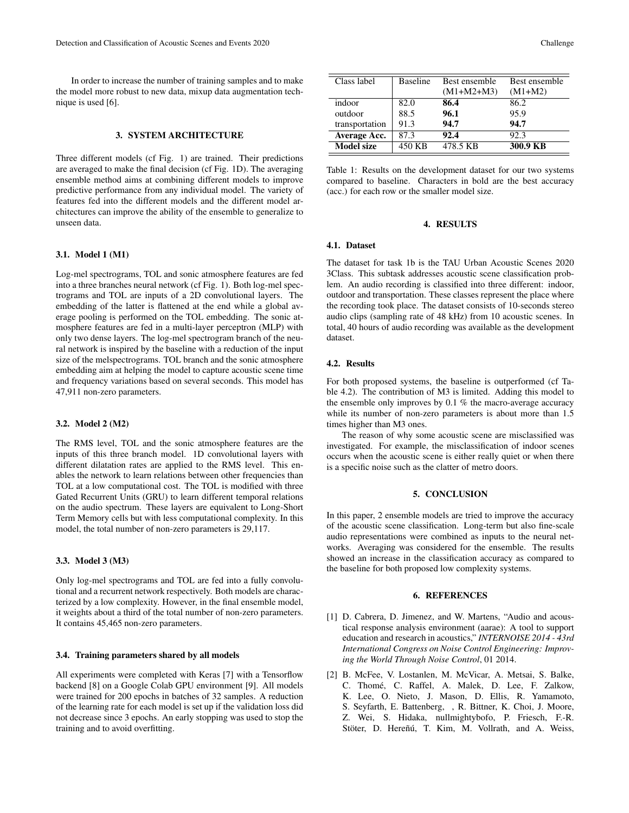In order to increase the number of training samples and to make the model more robust to new data, mixup data augmentation technique is used [6].

## 3. SYSTEM ARCHITECTURE

Three different models (cf Fig. 1) are trained. Their predictions are averaged to make the final decision (cf Fig. 1D). The averaging ensemble method aims at combining different models to improve predictive performance from any individual model. The variety of features fed into the different models and the different model architectures can improve the ability of the ensemble to generalize to unseen data.

#### 3.1. Model 1 (M1)

Log-mel spectrograms, TOL and sonic atmosphere features are fed into a three branches neural network (cf Fig. 1). Both log-mel spectrograms and TOL are inputs of a 2D convolutional layers. The embedding of the latter is flattened at the end while a global average pooling is performed on the TOL embedding. The sonic atmosphere features are fed in a multi-layer perceptron (MLP) with only two dense layers. The log-mel spectrogram branch of the neural network is inspired by the baseline with a reduction of the input size of the melspectrograms. TOL branch and the sonic atmosphere embedding aim at helping the model to capture acoustic scene time and frequency variations based on several seconds. This model has 47,911 non-zero parameters.

#### 3.2. Model 2 (M2)

The RMS level, TOL and the sonic atmosphere features are the inputs of this three branch model. 1D convolutional layers with different dilatation rates are applied to the RMS level. This enables the network to learn relations between other frequencies than TOL at a low computational cost. The TOL is modified with three Gated Recurrent Units (GRU) to learn different temporal relations on the audio spectrum. These layers are equivalent to Long-Short Term Memory cells but with less computational complexity. In this model, the total number of non-zero parameters is 29,117.

#### 3.3. Model 3 (M3)

Only log-mel spectrograms and TOL are fed into a fully convolutional and a recurrent network respectively. Both models are characterized by a low complexity. However, in the final ensemble model, it weights about a third of the total number of non-zero parameters. It contains 45,465 non-zero parameters.

#### 3.4. Training parameters shared by all models

All experiments were completed with Keras [7] with a Tensorflow backend [8] on a Google Colab GPU environment [9]. All models were trained for 200 epochs in batches of 32 samples. A reduction of the learning rate for each model is set up if the validation loss did not decrease since 3 epochs. An early stopping was used to stop the training and to avoid overfitting.

| Class label       | <b>Baseline</b> | Best ensemble | Best ensemble |
|-------------------|-----------------|---------------|---------------|
|                   |                 | $(M1+M2+M3)$  | $(M1+M2)$     |
| indoor            | 82.0            | 86.4          | 86.2          |
| outdoor           | 88.5            | 96.1          | 95.9          |
| transportation    | 91.3            | 94.7          | 94.7          |
| Average Acc.      | 87.3            | 92.4          | 92.3          |
| <b>Model size</b> | 450 KB          | 478.5 KB      | 300.9 KB      |

Table 1: Results on the development dataset for our two systems compared to baseline. Characters in bold are the best accuracy (acc.) for each row or the smaller model size.

#### 4. RESULTS

#### 4.1. Dataset

The dataset for task 1b is the TAU Urban Acoustic Scenes 2020 3Class. This subtask addresses acoustic scene classification problem. An audio recording is classified into three different: indoor, outdoor and transportation. These classes represent the place where the recording took place. The dataset consists of 10-seconds stereo audio clips (sampling rate of 48 kHz) from 10 acoustic scenes. In total, 40 hours of audio recording was available as the development dataset.

### 4.2. Results

For both proposed systems, the baseline is outperformed (cf Table 4.2). The contribution of M3 is limited. Adding this model to the ensemble only improves by 0.1 % the macro-average accuracy while its number of non-zero parameters is about more than 1.5 times higher than M3 ones.

The reason of why some acoustic scene are misclassified was investigated. For example, the misclassification of indoor scenes occurs when the acoustic scene is either really quiet or when there is a specific noise such as the clatter of metro doors.

#### 5. CONCLUSION

In this paper, 2 ensemble models are tried to improve the accuracy of the acoustic scene classification. Long-term but also fine-scale audio representations were combined as inputs to the neural networks. Averaging was considered for the ensemble. The results showed an increase in the classification accuracy as compared to the baseline for both proposed low complexity systems.

#### 6. REFERENCES

- [1] D. Cabrera, D. Jimenez, and W. Martens, "Audio and acoustical response analysis environment (aarae): A tool to support education and research in acoustics," *INTERNOISE 2014 - 43rd International Congress on Noise Control Engineering: Improving the World Through Noise Control*, 01 2014.
- [2] B. McFee, V. Lostanlen, M. McVicar, A. Metsai, S. Balke, C. Thomé, C. Raffel, A. Malek, D. Lee, F. Zalkow, K. Lee, O. Nieto, J. Mason, D. Ellis, R. Yamamoto, S. Seyfarth, E. Battenberg, , R. Bittner, K. Choi, J. Moore, Z. Wei, S. Hidaka, nullmightybofo, P. Friesch, F.-R. Stöter, D. Hereñú, T. Kim, M. Vollrath, and A. Weiss,